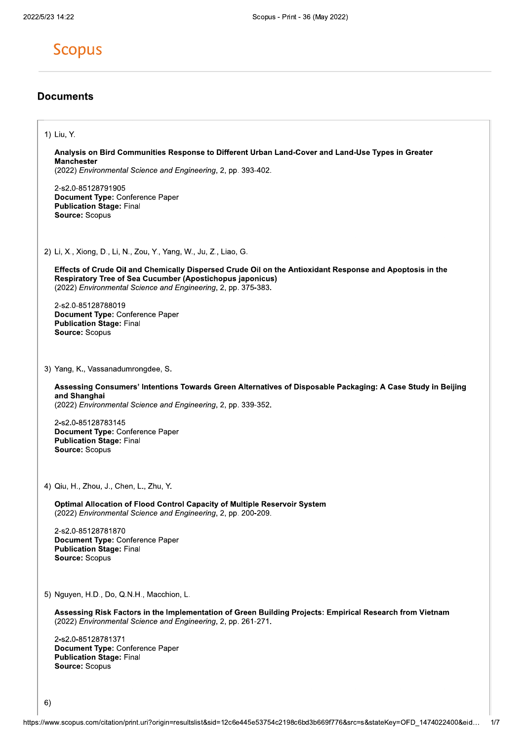## **Scopus**

### **Documents**

#### 1) Liu, Y.

#### Analysis on Bird Communities Response to Different Urban Land-Cover and Land-Use Types in Greater **Manchester**

(2022) Environmental Science and Engineering, 2, pp. 393-402.

2-s2.0-85128791905 Document Type: Conference Paper **Publication Stage: Final** Source: Scopus

2) Li, X., Xiong, D., Li, N., Zou, Y., Yang, W., Ju, Z., Liao, G.

Effects of Crude Oil and Chemically Dispersed Crude Oil on the Antioxidant Response and Apoptosis in the **Respiratory Tree of Sea Cucumber (Apostichopus japonicus)** (2022) Environmental Science and Engineering, 2, pp. 375-383.

2-s2.0-85128788019 Document Type: Conference Paper **Publication Stage: Final** Source: Scopus

3) Yang, K., Vassanadumrongdee, S.

Assessing Consumers' Intentions Towards Green Alternatives of Disposable Packaging: A Case Study in Beijing and Shanghai

(2022) Environmental Science and Engineering, 2, pp. 339-352.

2-s2.0-85128783145 Document Type: Conference Paper **Publication Stage: Final** Source: Scopus

4) Qiu, H., Zhou, J., Chen, L., Zhu, Y.

Optimal Allocation of Flood Control Capacity of Multiple Reservoir System (2022) Environmental Science and Engineering, 2, pp. 200-209.

2-s2.0-85128781870 Document Type: Conference Paper **Publication Stage: Final** Source: Scopus

5) Nguyen, H.D., Do, Q.N.H., Macchion, L.

Assessing Risk Factors in the Implementation of Green Building Projects: Empirical Research from Vietnam (2022) Environmental Science and Engineering, 2, pp. 261-271.

2-s2.0-85128781371 Document Type: Conference Paper **Publication Stage: Final** Source: Scopus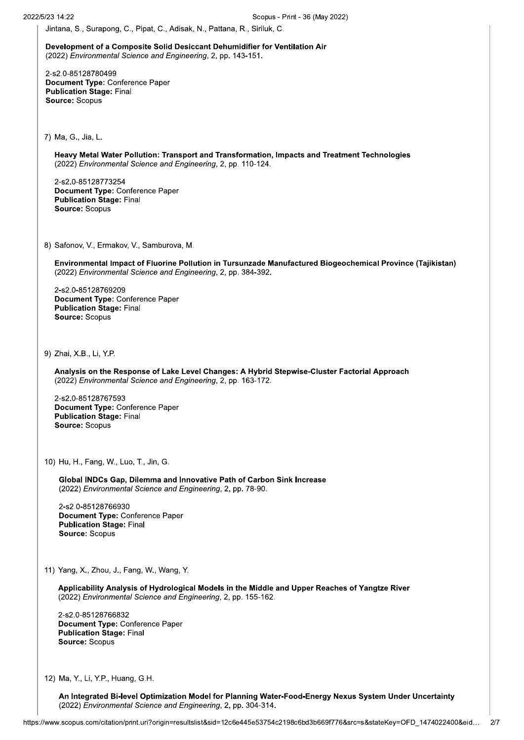Jintana, S., Surapong, C., Pipat, C., Adisak, N., Pattana, R., Siriluk, C.

Development of a Composite Solid Desiccant Dehumidifier for Ventilation Air (2022) Environmental Science and Engineering, 2, pp. 143-151.

2-s2.0-85128780499 Document Type: Conference Paper **Publication Stage: Final** Source: Scopus

7) Ma, G., Jia, L.

Heavy Metal Water Pollution: Transport and Transformation, Impacts and Treatment Technologies (2022) Environmental Science and Engineering, 2, pp. 110-124.

2-s2.0-85128773254 Document Type: Conference Paper **Publication Stage: Final** Source: Scopus

8) Safonov, V., Ermakov, V., Samburova, M.

Environmental Impact of Fluorine Pollution in Tursunzade Manufactured Biogeochemical Province (Tajikistan) (2022) Environmental Science and Engineering, 2, pp. 384-392.

2-s2.0-85128769209 Document Type: Conference Paper **Publication Stage: Final** Source: Scopus

9) Zhai, X.B., Li, Y.P.

Analysis on the Response of Lake Level Changes: A Hybrid Stepwise-Cluster Factorial Approach (2022) Environmental Science and Engineering, 2, pp. 163-172.

2-s2.0-85128767593 Document Type: Conference Paper **Publication Stage: Final** Source: Scopus

10) Hu, H., Fang, W., Luo, T., Jin, G.

Global INDCs Gap, Dilemma and Innovative Path of Carbon Sink Increase (2022) Environmental Science and Engineering, 2, pp. 78-90.

2-s2.0-85128766930 Document Type: Conference Paper **Publication Stage: Final** Source: Scopus

11) Yang, X., Zhou, J., Fang, W., Wang, Y.

Applicability Analysis of Hydrological Models in the Middle and Upper Reaches of Yangtze River (2022) Environmental Science and Engineering, 2, pp. 155-162.

2-s2.0-85128766832 Document Type: Conference Paper **Publication Stage: Final** Source: Scopus

12) Ma, Y., Li, Y.P., Huang, G.H.

An Integrated Bi-level Optimization Model for Planning Water-Food-Energy Nexus System Under Uncertainty (2022) Environmental Science and Engineering, 2, pp. 304-314.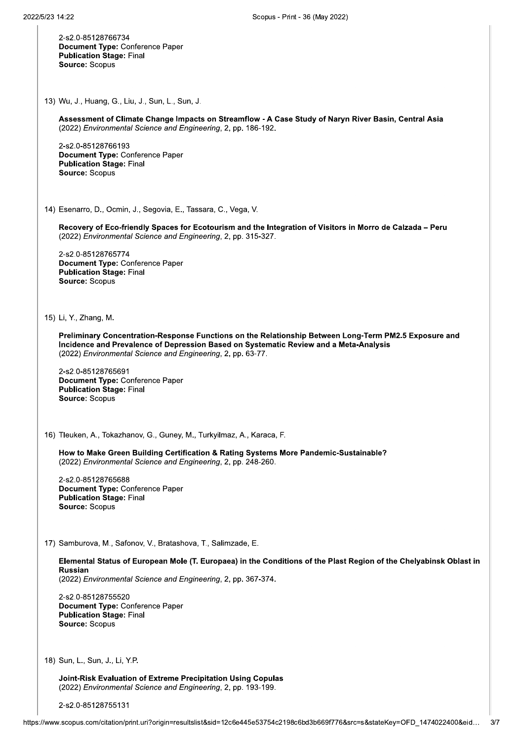2-s2.0-85128766734 Document Type: Conference Paper **Publication Stage: Final** Source: Scopus

13) Wu, J., Huang, G., Liu, J., Sun, L., Sun, J.

Assessment of Climate Change Impacts on Streamflow - A Case Study of Naryn River Basin, Central Asia (2022) Environmental Science and Engineering, 2, pp. 186-192.

2-s2.0-85128766193 Document Type: Conference Paper **Publication Stage: Final** Source: Scopus

14) Esenarro, D., Ocmin, J., Segovia, E., Tassara, C., Vega, V.

Recovery of Eco-friendly Spaces for Ecotourism and the Integration of Visitors in Morro de Calzada - Peru (2022) Environmental Science and Engineering, 2, pp. 315-327.

2-s2.0-85128765774 Document Type: Conference Paper **Publication Stage: Final** Source: Scopus

15) Li, Y., Zhang, M.

Preliminary Concentration-Response Functions on the Relationship Between Long-Term PM2.5 Exposure and Incidence and Prevalence of Depression Based on Systematic Review and a Meta-Analysis (2022) Environmental Science and Engineering, 2, pp. 63-77.

2-s2.0-85128765691 Document Type: Conference Paper **Publication Stage: Final** Source: Scopus

16) Tleuken, A., Tokazhanov, G., Guney, M., Turkyilmaz, A., Karaca, F.

How to Make Green Building Certification & Rating Systems More Pandemic-Sustainable? (2022) Environmental Science and Engineering, 2, pp. 248-260.

2-s2.0-85128765688 **Document Type: Conference Paper Publication Stage: Final** Source: Scopus

17) Samburova, M., Safonov, V., Bratashova, T., Salimzade, E.

Elemental Status of European Mole (T. Europaea) in the Conditions of the Plast Region of the Chelyabinsk Oblast in **Russian** (2022) Environmental Science and Engineering, 2, pp. 367-374.

2-s2.0-85128755520 Document Type: Conference Paper **Publication Stage: Final** Source: Scopus

18) Sun, L., Sun, J., Li, Y.P.

Joint-Risk Evaluation of Extreme Precipitation Using Copulas (2022) Environmental Science and Engineering, 2, pp. 193-199.

2-s2.0-85128755131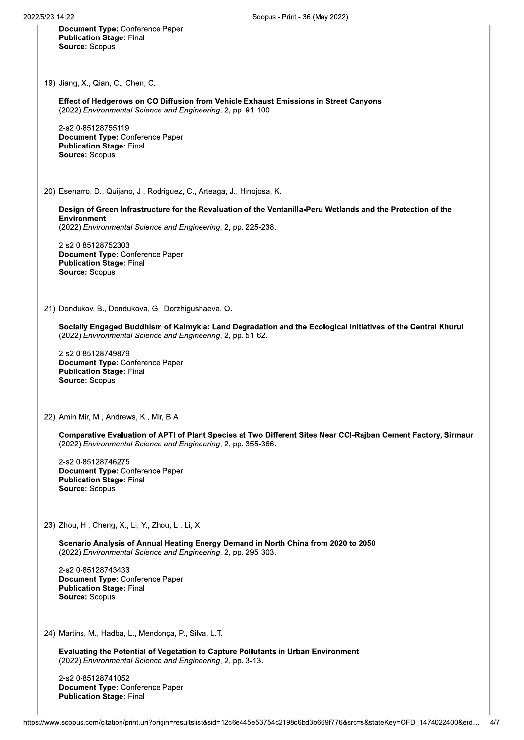Document Type: Conference Paper **Publication Stage: Final** Source: Scopus

19) Jiang, X., Qian, C., Chen, C.

Effect of Hedgerows on CO Diffusion from Vehicle Exhaust Emissions in Street Canyons (2022) Environmental Science and Engineering, 2, pp. 91-100.

2-s2.0-85128755119 Document Type: Conference Paper **Publication Stage: Final** Source: Scopus

20) Esenarro, D., Quijano, J., Rodriguez, C., Arteaga, J., Hinojosa, K.

Design of Green Infrastructure for the Revaluation of the Ventanilla-Peru Wetlands and the Protection of the Environment (2022) Environmental Science and Engineering, 2, pp. 225-238.

2-s2.0-85128752303 Document Type: Conference Paper **Publication Stage: Final** Source: Scopus

21) Dondukov, B., Dondukova, G., Dorzhigushaeva, O.

Socially Engaged Buddhism of Kalmykia: Land Degradation and the Ecological Initiatives of the Central Khurul (2022) Environmental Science and Engineering, 2, pp. 51-62.

2-s2.0-85128749879 Document Type: Conference Paper **Publication Stage: Final** Source: Scopus

22) Amin Mir, M., Andrews, K., Mir, B.A.

Comparative Evaluation of APTI of Plant Species at Two Different Sites Near CCI-Rajban Cement Factory, Sirmaur (2022) Environmental Science and Engineering, 2, pp. 355-366.

2-s2.0-85128746275 Document Type: Conference Paper **Publication Stage: Final** Source: Scopus

#### 23) Zhou, H., Cheng, X., Li, Y., Zhou, L., Li, X.

Scenario Analysis of Annual Heating Energy Demand in North China from 2020 to 2050 (2022) Environmental Science and Engineering, 2, pp. 295-303.

2-s2.0-85128743433 Document Type: Conference Paper **Publication Stage: Final** Source: Scopus

24) Martins, M., Hadba, L., Mendonça, P., Silva, L.T.

Evaluating the Potential of Vegetation to Capture Pollutants in Urban Environment (2022) Environmental Science and Engineering, 2, pp. 3-13.

2-s2.0-85128741052 Document Type: Conference Paper **Publication Stage: Final**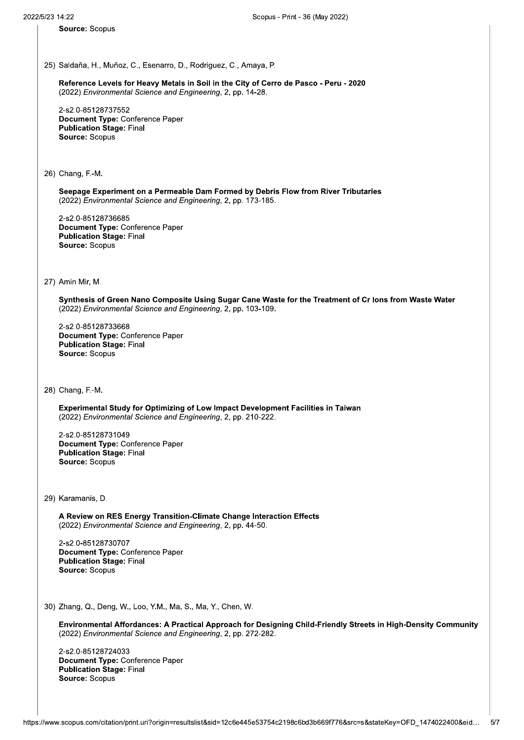Source: Scopus

25) Saldana, H., Munoz, C., Esenarro, D., Rodriguez, C., Amaya, P.

 $\mathbb{R}^2$ Reference Levels for Heavy Metals in Soli in the City of Cerro de Pasco - Peru - 2020 (2022) Environmental Science and Engineering, 2, pp. 14-28.

L. Z-SZ.U∹<br>− 25) Saldaña, H., Muñoz, C., Esenarro, D.,<br>
Reference Levels for Heavy Metals i<br>
(2022) *Environmental Science and Eng*<br>
2-s2.0-85128737552<br> **Document Type:** Conference Paper<br>
Publication Stage: Final<br>
Source: Scopus<br>
26) C Document Type: Conference Paper Publication Stage: Final Source: Scopus

26) Chang, F.-M.

 $\mathbb{R}^2$ Seepage Experiment on a Permeable Dam Formed by Debris Flow from River Tributaries (2022) Environmental Science and Engineering, 2, pp. 173-185. blication Stage: Final<br>ang, F.-M.<br>page Experiment on a Permeable Dam Formed by Debris Flow from R<br>22) *Environmental Science and Engineering*, 2, pp. 173-185.<br>2.0-85128736685<br>cument Type: Conference Paper<br>blication Stage:

2-s2.∪-i<br>− 26) Chang, F.-M.<br>
Seepage Experiment on a Permea<br>
(2022) *Environmental Science and l*<br>
2-s2.0-85128736685<br> **Document Type:** Conference Pape<br> **Publication Stage:** Final<br>
Source: Scopus<br>
27) Amin Mir, M. Document Type: Conference Paper Publication Stage: Final Source: Scopus 2-s2.0-8512873668<br>
Document Type: C<br>
Publication Stage:<br>
Source: Scopus<br>
27) Amin Mir, M.<br>
27) Amin Mir, M.<br>
Synthesis of Gree<br>
(2022) *Environmen*<br>
2-s2.0-8512873366<br>
Document Type: C<br>
Publication Stage:<br>
Source: Scopus

Synthesis of Green Nano Composite Using Sugar Cane Waste for the Treatment of Cr lons from Waste Water (2022) Environmental Science and Engineering, 2, pp. 103-109.

i. 2-S2.0-i<br>-27) Amin Mir, M.<br>
Synthesis of Green Nano Compos<br>
(2022) *Environmental Science and l*<br>
2-s2.0-85128733668<br> **Document Type:** Conference Pape<br> **Publication Stage:** Final<br>
Source: Scopus<br>
28) Chang, F.-M. Document Type: Conference Paper Publication Stage: Final source: Scopus

28) Chang, F.-M.

 $\mathbb{Z}^2$ Experimental Study for Optimizing of Low Impact Development Facilities in Talwan (2022) Environmental Science and Engineering, 2, pp. 210-222.

L. Z-SZ.U-851Z8731U49<br>-28) Chang, F.-M.<br>
Experimental Study for Optimizine<br>
(2022) *Environmental Science and l*<br>
2-s2.0-85128731049<br>
Document Type: Conference Pape<br>
Publication Stage: Final<br>
Source: Scopus<br>
29) Karamanis, D. Document Type: Conference Paper Publication Stage: Final Source: Scopus

29) Karamanis, D.

Ú. A Review on RES Energy Transition-Climate Change Interaction Effects (2022) Environmental Science and Engineering, 2, pp. 44-50.

i. 2-S2.0∹<br>− 29) Karamanis, D.<br>
A Review on RES Energy Transiti<br>
(2022) *Environmental Science and l*<br>
2-s2.0-85128730707<br> **Document Type: Conference Pape<br>
Publication Stage: Final<br>
Source: Scopus<br>
30) Zhang, Q., Deng, W., Loo, Y.M., M** 29) Karamanis, D.<br> **A Review on RES Energy Transition-(2022)** *Environmental Science and Eng.***<br>
2-s2.0-85128730707<br>
<b>Document Type: Conference Paper<br>
Publication Stage: Final<br>
Source: Scopus<br>
30) Zhang, Q., Deng, W., Loo, Y** 9) Karamanis, D.<br> **A Review on RES Energy Transition-Cli**<br>
(2022) *Environmental Science and Engine*<br>
2-s2.0-85128730707<br> **Document Type: Conference Paper<br>
Publication Stage: Final<br>
Source: Scopus<br>
0) Zhang, Q., Deng, W.,** Document Type: Conference Paper Publication Stage: Final Source: Scopus

30) Zhang, Q., Deng, W., Loo, Y.M., Ma, S., Ma, Y., Chen, W.

 $\mathbb{R}^2$ Environmental Affordances: A Practical Approach for Designing Child-Friendly Streets in High-Density Community (2022) Environmental Science and Engineering, 2, pp. 272-282. blication Stage: Final<br>ang, Q., Deng, W., Loo, Y.M., Ma, S., Ma, Y., Chen, W.<br>vironmental Affordances: A Practical Approach for Designing Child-Fri<br>22) *Environmental Science and Engineering*, 2, pp. 272-282.<br>2.0-851287240

L. 2-S2.0-85128724033 30) Zhang, Q., Deng, W., Loo, Y.M., Ma<br>
Environmental Affordances: A Pra<br>
(2022) *Environmental Science and l*<br>
2-s2.0-85128724033<br>
Document Type: Conference Pape<br>
Publication Stage: Final<br>
Source: Scopus<br>
ttps://www.scopu Document Type: Conference Paper Publication Stage: Final Source: Scopus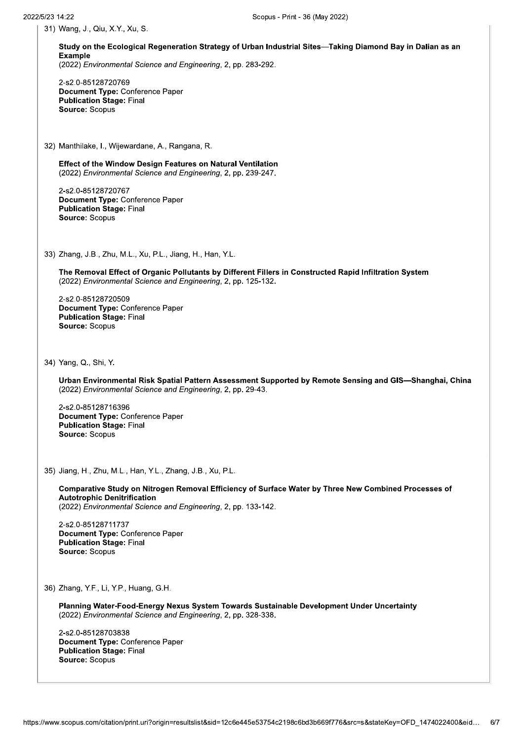31) Wang, J., Qiu, X.Y., Xu, S.

Study on the Ecological Regeneration Strategy of Urban Industrial Sites—Taking Diamond Bay in Dalian as an Example

(2022) Environmental Science and Engineering, 2, pp. 283-292.

2-s2.0-85128720769 Document Type: Conference Paper **Publication Stage: Final** Source: Scopus

32) Manthilake, I., Wijewardane, A., Rangana, R.

Effect of the Window Design Features on Natural Ventilation (2022) Environmental Science and Engineering, 2, pp. 239-247.

2-s2.0-85128720767 Document Type: Conference Paper **Publication Stage: Final** Source: Scopus

33) Zhang, J.B., Zhu, M.L., Xu, P.L., Jiang, H., Han, Y.L.

The Removal Effect of Organic Pollutants by Different Fillers in Constructed Rapid Infiltration System (2022) Environmental Science and Engineering, 2, pp. 125-132.

2-s2.0-85128720509 Document Type: Conference Paper **Publication Stage: Final** Source: Scopus

34) Yang, Q., Shi, Y.

Urban Environmental Risk Spatial Pattern Assessment Supported by Remote Sensing and GIS-Shanghai, China (2022) Environmental Science and Engineering, 2, pp. 29-43.

2-s2.0-85128716396 Document Type: Conference Paper **Publication Stage: Final** Source: Scopus

35) Jiang, H., Zhu, M.L., Han, Y.L., Zhang, J.B., Xu, P.L.

Comparative Study on Nitrogen Removal Efficiency of Surface Water by Three New Combined Processes of **Autotrophic Denitrification** 

(2022) Environmental Science and Engineering, 2, pp. 133-142.

2-s2.0-85128711737 Document Type: Conference Paper **Publication Stage: Final** Source: Scopus

36) Zhang, Y.F., Li, Y.P., Huang, G.H.

Planning Water-Food-Energy Nexus System Towards Sustainable Development Under Uncertainty (2022) Environmental Science and Engineering, 2, pp. 328-338.

2-s2.0-85128703838 Document Type: Conference Paper **Publication Stage: Final** Source: Scopus